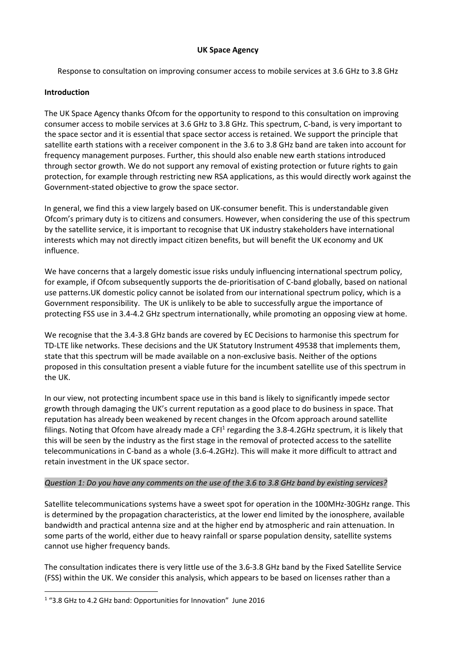### **UK Space Agency**

Response to consultation on improving consumer access to mobile services at 3.6 GHz to 3.8 GHz

### **Introduction**

The UK Space Agency thanks Ofcom for the opportunity to respond to this consultation on improving consumer access to mobile services at 3.6 GHz to 3.8 GHz. This spectrum, C‐band, is very important to the space sector and it is essential that space sector access is retained. We support the principle that satellite earth stations with a receiver component in the 3.6 to 3.8 GHz band are taken into account for frequency management purposes. Further, this should also enable new earth stations introduced through sector growth. We do not support any removal of existing protection or future rights to gain protection, for example through restricting new RSA applications, as this would directly work against the Government‐stated objective to grow the space sector.

In general, we find this a view largely based on UK‐consumer benefit. This is understandable given Ofcom's primary duty is to citizens and consumers. However, when considering the use of this spectrum by the satellite service, it is important to recognise that UK industry stakeholders have international interests which may not directly impact citizen benefits, but will benefit the UK economy and UK influence.

We have concerns that a largely domestic issue risks unduly influencing international spectrum policy, for example, if Ofcom subsequently supports the de-prioritisation of C-band globally, based on national use patterns.UK domestic policy cannot be isolated from our international spectrum policy, which is a Government responsibility. The UK is unlikely to be able to successfully argue the importance of protecting FSS use in 3.4‐4.2 GHz spectrum internationally, while promoting an opposing view at home.

We recognise that the 3.4‐3.8 GHz bands are covered by EC Decisions to harmonise this spectrum for TD‐LTE like networks. These decisions and the UK Statutory Instrument 49538 that implements them, state that this spectrum will be made available on a non‐exclusive basis. Neither of the options proposed in this consultation present a viable future for the incumbent satellite use of this spectrum in the UK.

In our view, not protecting incumbent space use in this band is likely to significantly impede sector growth through damaging the UK's current reputation as a good place to do business in space. That reputation has already been weakened by recent changes in the Ofcom approach around satellite filings. Noting that Ofcom have already made a CFI<sup>1</sup> regarding the 3.8-4.2GHz spectrum, it is likely that this will be seen by the industry as the first stage in the removal of protected access to the satellite telecommunications in C‐band as a whole (3.6‐4.2GHz). This will make it more difficult to attract and retain investment in the UK space sector.

### Question 1: Do you have any comments on the use of the 3.6 to 3.8 GHz band by existing services?

Satellite telecommunications systems have a sweet spot for operation in the 100MHz‐30GHz range. This is determined by the propagation characteristics, at the lower end limited by the ionosphere, available bandwidth and practical antenna size and at the higher end by atmospheric and rain attenuation. In some parts of the world, either due to heavy rainfall or sparse population density, satellite systems cannot use higher frequency bands.

The consultation indicates there is very little use of the 3.6‐3.8 GHz band by the Fixed Satellite Service (FSS) within the UK. We consider this analysis, which appears to be based on licenses rather than a

 <sup>1</sup> "3.8 GHz to 4.2 GHz band: Opportunities for Innovation" June 2016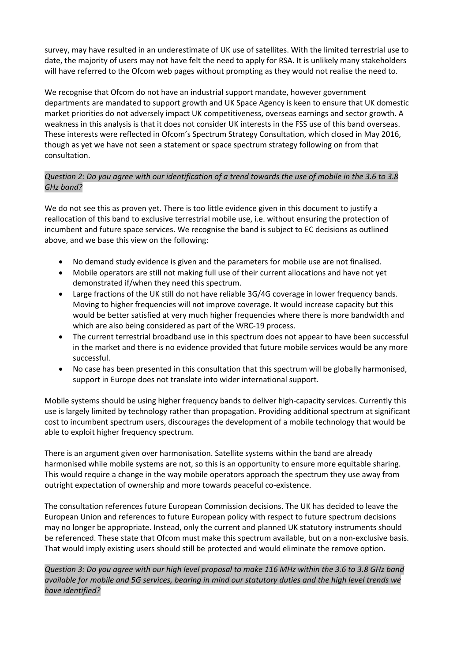survey, may have resulted in an underestimate of UK use of satellites. With the limited terrestrial use to date, the majority of users may not have felt the need to apply for RSA. It is unlikely many stakeholders will have referred to the Ofcom web pages without prompting as they would not realise the need to.

We recognise that Ofcom do not have an industrial support mandate, however government departments are mandated to support growth and UK Space Agency is keen to ensure that UK domestic market priorities do not adversely impact UK competitiveness, overseas earnings and sector growth. A weakness in this analysis is that it does not consider UK interests in the FSS use of this band overseas. These interests were reflected in Ofcom's Spectrum Strategy Consultation, which closed in May 2016, though as yet we have not seen a statement or space spectrum strategy following on from that consultation.

# Question 2: Do you agree with our identification of a trend towards the use of mobile in the 3.6 to 3.8 *GHz band?*

We do not see this as proven yet. There is too little evidence given in this document to justify a reallocation of this band to exclusive terrestrial mobile use, i.e. without ensuring the protection of incumbent and future space services. We recognise the band is subject to EC decisions as outlined above, and we base this view on the following:

- No demand study evidence is given and the parameters for mobile use are not finalised.
- Mobile operators are still not making full use of their current allocations and have not yet demonstrated if/when they need this spectrum.
- Large fractions of the UK still do not have reliable 3G/4G coverage in lower frequency bands. Moving to higher frequencies will not improve coverage. It would increase capacity but this would be better satisfied at very much higher frequencies where there is more bandwidth and which are also being considered as part of the WRC‐19 process.
- The current terrestrial broadband use in this spectrum does not appear to have been successful in the market and there is no evidence provided that future mobile services would be any more successful.
- No case has been presented in this consultation that this spectrum will be globally harmonised, support in Europe does not translate into wider international support.

Mobile systems should be using higher frequency bands to deliver high-capacity services. Currently this use is largely limited by technology rather than propagation. Providing additional spectrum at significant cost to incumbent spectrum users, discourages the development of a mobile technology that would be able to exploit higher frequency spectrum.

There is an argument given over harmonisation. Satellite systems within the band are already harmonised while mobile systems are not, so this is an opportunity to ensure more equitable sharing. This would require a change in the way mobile operators approach the spectrum they use away from outright expectation of ownership and more towards peaceful co‐existence.

The consultation references future European Commission decisions. The UK has decided to leave the European Union and references to future European policy with respect to future spectrum decisions may no longer be appropriate. Instead, only the current and planned UK statutory instruments should be referenced. These state that Ofcom must make this spectrum available, but on a non-exclusive basis. That would imply existing users should still be protected and would eliminate the remove option.

Question 3: Do you agree with our high level proposal to make 116 MHz within the 3.6 to 3.8 GHz band available for mobile and 5G services, bearing in mind our statutory duties and the high level trends we *have identified?*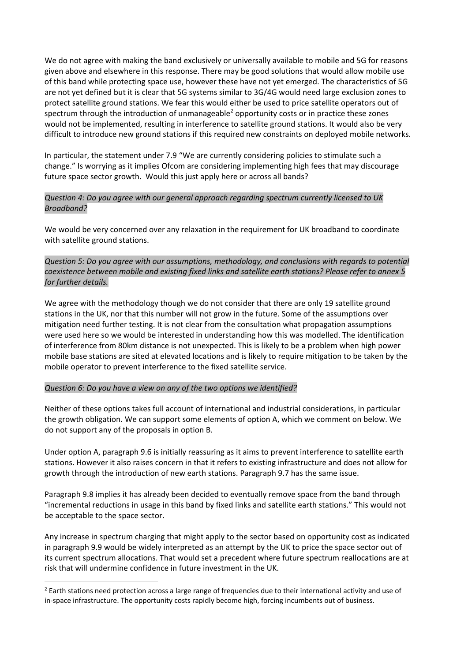We do not agree with making the band exclusively or universally available to mobile and 5G for reasons given above and elsewhere in this response. There may be good solutions that would allow mobile use of this band while protecting space use, however these have not yet emerged. The characteristics of 5G are not yet defined but it is clear that 5G systems similar to 3G/4G would need large exclusion zones to protect satellite ground stations. We fear this would either be used to price satellite operators out of spectrum through the introduction of unmanageable<sup>2</sup> opportunity costs or in practice these zones would not be implemented, resulting in interference to satellite ground stations. It would also be very difficult to introduce new ground stations if this required new constraints on deployed mobile networks.

In particular, the statement under 7.9 "We are currently considering policies to stimulate such a change." Is worrying as it implies Ofcom are considering implementing high fees that may discourage future space sector growth. Would this just apply here or across all bands?

## *Question 4: Do you agree with our general approach regarding spectrum currently licensed to UK Broadband?*

We would be very concerned over any relaxation in the requirement for UK broadband to coordinate with satellite ground stations.

*Question 5: Do you agree with our assumptions, methodology, and conclusions with regards to potential coexistence between mobile and existing fixed links and satellite earth stations? Please refer to annex 5 for further details.*

We agree with the methodology though we do not consider that there are only 19 satellite ground stations in the UK, nor that this number will not grow in the future. Some of the assumptions over mitigation need further testing. It is not clear from the consultation what propagation assumptions were used here so we would be interested in understanding how this was modelled. The identification of interference from 80km distance is not unexpected. This is likely to be a problem when high power mobile base stations are sited at elevated locations and is likely to require mitigation to be taken by the mobile operator to prevent interference to the fixed satellite service.

## *Question 6: Do you have a view on any of the two options we identified?*

Neither of these options takes full account of international and industrial considerations, in particular the growth obligation. We can support some elements of option A, which we comment on below. We do not support any of the proposals in option B.

Under option A, paragraph 9.6 is initially reassuring as it aims to prevent interference to satellite earth stations. However it also raises concern in that it refers to existing infrastructure and does not allow for growth through the introduction of new earth stations. Paragraph 9.7 has the same issue.

Paragraph 9.8 implies it has already been decided to eventually remove space from the band through "incremental reductions in usage in this band by fixed links and satellite earth stations." This would not be acceptable to the space sector.

Any increase in spectrum charging that might apply to the sector based on opportunity cost as indicated in paragraph 9.9 would be widely interpreted as an attempt by the UK to price the space sector out of its current spectrum allocations. That would set a precedent where future spectrum reallocations are at risk that will undermine confidence in future investment in the UK.

<sup>&</sup>lt;sup>2</sup> Earth stations need protection across a large range of frequencies due to their international activity and use of in-space infrastructure. The opportunity costs rapidly become high, forcing incumbents out of business.